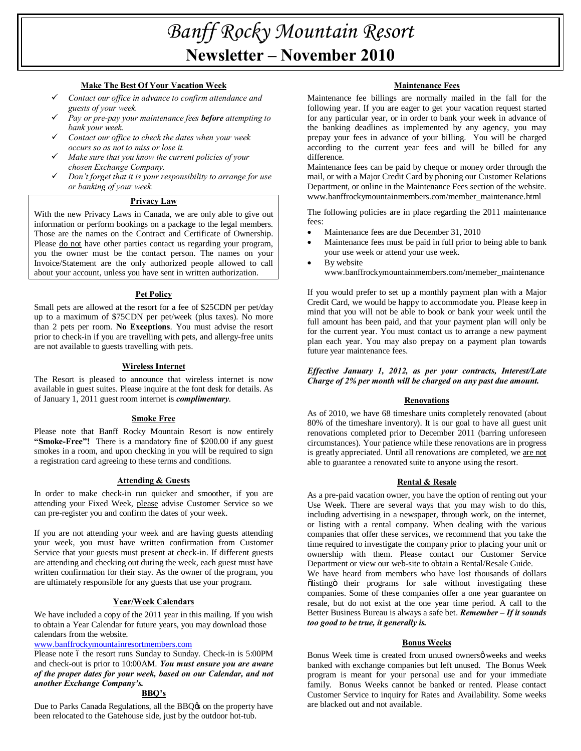# *Banff Rocky Mountain Resort* **Newsletter – November 2010**

## **Make The Best Of Your Vacation Week**

- ¸ *Contact our office in advance to confirm attendance and guests of your week.*
- ¸ *Pay or pre-pay your maintenance fees before attempting to bank your week.*
- ¸ *Contact our office to check the dates when your week occurs so as not to miss or lose it.*
- ¸ *Make sure that you know the current policies of your chosen Exchange Company.*
- ¸ *Don't forget that it is your responsibility to arrange for use or banking of your week.*

# **Privacy Law**

With the new Privacy Laws in Canada, we are only able to give out information or perform bookings on a package to the legal members. Those are the names on the Contract and Certificate of Ownership. Please do not have other parties contact us regarding your program, you the owner must be the contact person. The names on your Invoice/Statement are the only authorized people allowed to call about your account, unless you have sent in written authorization.

## **Pet Policy**

Small pets are allowed at the resort for a fee of \$25CDN per pet/day up to a maximum of \$75CDN per pet/week (plus taxes). No more than 2 pets per room. **No Exceptions**. You must advise the resort prior to check-in if you are travelling with pets, and allergy-free units are not available to guests travelling with pets.

## **Wireless Internet**

The Resort is pleased to announce that wireless internet is now available in guest suites. Please inquire at the font desk for details. As of January 1, 2011 guest room internet is *complimentary*.

#### **Smoke Free**

Please note that Banff Rocky Mountain Resort is now entirely **"Smoke-Free"!** There is a mandatory fine of \$200.00 if any guest smokes in a room, and upon checking in you will be required to sign a registration card agreeing to these terms and conditions.

# **Attending & Guests**

In order to make check-in run quicker and smoother, if you are attending your Fixed Week, please advise Customer Service so we can pre-register you and confirm the dates of your week.

If you are not attending your week and are having guests attending your week, you must have written confirmation from Customer Service that your guests must present at check-in. If different guests are attending and checking out during the week, each guest must have written confirmation for their stay. As the owner of the program, you are ultimately responsible for any guests that use your program.

# **Year/Week Calendars**

We have included a copy of the 2011 year in this mailing. If you wish to obtain a Year Calendar for future years, you may download those calendars from the website.

# www.banffrockymountainresortmembers.com

Please note 6 the resort runs Sunday to Sunday. Check-in is 5:00PM and check-out is prior to 10:00AM. *You must ensure you are aware of the proper dates for your week, based on our Calendar, and not another Exchange Company's.*

# **BBQ's**

Due to Parks Canada Regulations, all the BBQ $\alpha$  on the property have been relocated to the Gatehouse side, just by the outdoor hot-tub.

# **Maintenance Fees**

Maintenance fee billings are normally mailed in the fall for the following year. If you are eager to get your vacation request started for any particular year, or in order to bank your week in advance of the banking deadlines as implemented by any agency, you may prepay your fees in advance of your billing. You will be charged according to the current year fees and will be billed for any difference.

Maintenance fees can be paid by cheque or money order through the mail, or with a Major Credit Card by phoning our Customer Relations Department, or online in the Maintenance Fees section of the website. www.banffrockymountainmembers.com/member\_maintenance.html

The following policies are in place regarding the 2011 maintenance fees:

- Maintenance fees are due December 31, 2010
- Maintenance fees must be paid in full prior to being able to bank your use week or attend your use week.
- By website www.banffrockymountainmembers.com/memeber\_maintenance

If you would prefer to set up a monthly payment plan with a Major Credit Card, we would be happy to accommodate you. Please keep in mind that you will not be able to book or bank your week until the full amount has been paid, and that your payment plan will only be for the current year. You must contact us to arrange a new payment plan each year. You may also prepay on a payment plan towards future year maintenance fees.

# *Effective January 1, 2012, as per your contracts, Interest/Late Charge of 2% per month will be charged on any past due amount.*

# **Renovations**

As of 2010, we have 68 timeshare units completely renovated (about 80% of the timeshare inventory). It is our goal to have all guest unit renovations completed prior to December 2011 (barring unforeseen circumstances). Your patience while these renovations are in progress is greatly appreciated. Until all renovations are completed, we are not able to guarantee a renovated suite to anyone using the resort.

#### **Rental & Resale**

As a pre-paid vacation owner, you have the option of renting out your Use Week. There are several ways that you may wish to do this, including advertising in a newspaper, through work, on the internet, or listing with a rental company. When dealing with the various companies that offer these services, we recommend that you take the time required to investigate the company prior to placing your unit or ownership with them. Please contact our Customer Service Department or view our web-site to obtain a Rental/Resale Guide.

We have heard from members who have lost thousands of dollars õlistingö their programs for sale without investigating these companies. Some of these companies offer a one year guarantee on resale, but do not exist at the one year time period. A call to the Better Business Bureau is always a safe bet. *Remember – If it sounds too good to be true, it generally is.*

#### **Bonus Weeks**

Bonus Week time is created from unused ownersø weeks and weeks banked with exchange companies but left unused. The Bonus Week program is meant for your personal use and for your immediate family. Bonus Weeks cannot be banked or rented. Please contact Customer Service to inquiry for Rates and Availability. Some weeks are blacked out and not available.